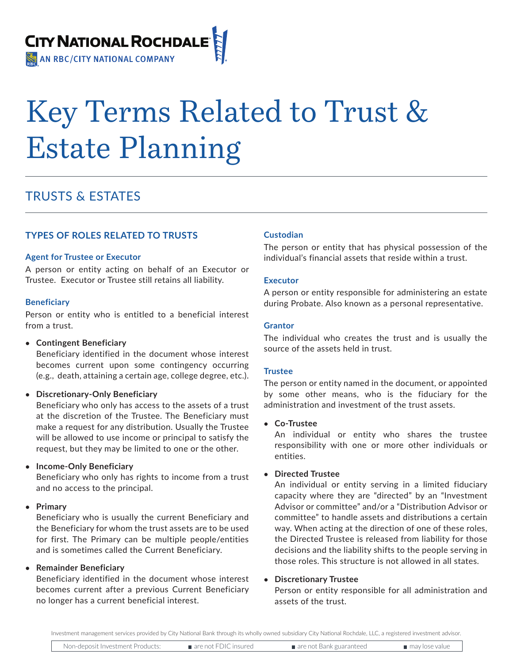

# Key Terms Related to Trust & Estate Planning

## TRUSTS & ESTATES

## **TYPES OF ROLES RELATED TO TRUSTS**

## **Agent for Trustee or Executor**

A person or entity acting on behalf of an Executor or Trustee. Executor or Trustee still retains all liability.

## **Beneficiary**

Person or entity who is entitled to a beneficial interest from a trust.

## **• Contingent Beneficiary**

Beneficiary identified in the document whose interest becomes current upon some contingency occurring (e.g., death, attaining a certain age, college degree, etc.).

## **• Discretionary-Only Beneficiary**

Beneficiary who only has access to the assets of a trust at the discretion of the Trustee. The Beneficiary must make a request for any distribution. Usually the Trustee will be allowed to use income or principal to satisfy the request, but they may be limited to one or the other.

## **• Income-Only Beneficiary**

Beneficiary who only has rights to income from a trust and no access to the principal.

## **• Primary**

Beneficiary who is usually the current Beneficiary and the Beneficiary for whom the trust assets are to be used for first. The Primary can be multiple people/entities and is sometimes called the Current Beneficiary.

## **• Remainder Beneficiary**

Beneficiary identified in the document whose interest becomes current after a previous Current Beneficiary no longer has a current beneficial interest.

## **Custodian**

The person or entity that has physical possession of the individual's financial assets that reside within a trust.

## **Executor**

A person or entity responsible for administering an estate during Probate. Also known as a personal representative.

## **Grantor**

The individual who creates the trust and is usually the source of the assets held in trust.

## **Trustee**

The person or entity named in the document, or appointed by some other means, who is the fiduciary for the administration and investment of the trust assets.

## **• Co-Trustee**

An individual or entity who shares the trustee responsibility with one or more other individuals or entities.

## **• Directed Trustee**

An individual or entity serving in a limited fiduciary capacity where they are "directed" by an "Investment Advisor or committee" and/or a "Distribution Advisor or committee" to handle assets and distributions a certain way. When acting at the direction of one of these roles, the Directed Trustee is released from liability for those decisions and the liability shifts to the people serving in those roles. This structure is not allowed in all states.

## **• Discretionary Trustee**

Person or entity responsible for all administration and assets of the trust.

Investment management services provided by City National Bank through its wholly owned subsidiary City National Rochdale, LLC, a registered investment advisor.

Non-deposit Investment Products: are not FDIC insured are not Bank guaranteed may lose value